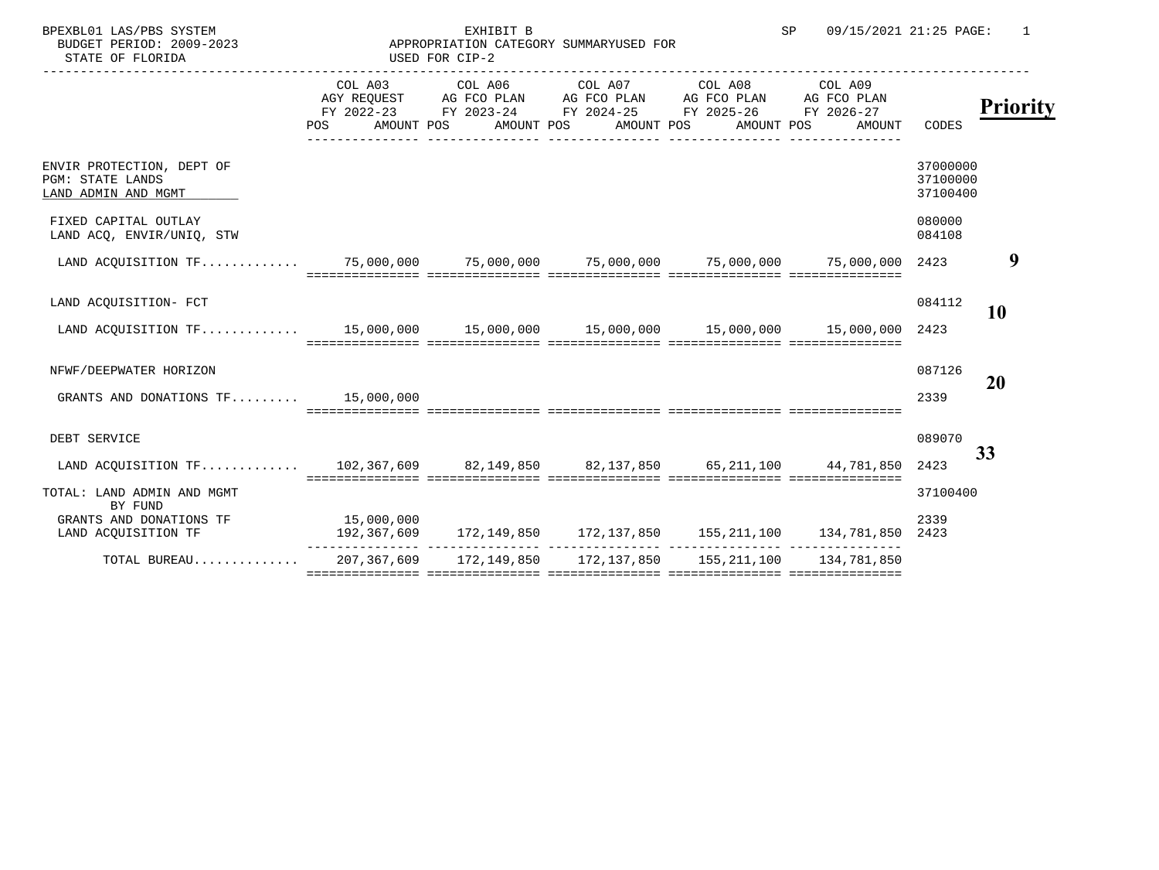| SP |  | 09/15/2021 21:25 PAGE: |  |
|----|--|------------------------|--|
|    |  |                        |  |

BPEXBL01 LAS/PBS SYSTEM SALL STATE SEXHIBIT B SP 09/15/2021 21:25 PAGE: 1 BUDGET PERIOD: 2009-2023

| BUDGET PERIOD: 2009-2023<br>STATE OF FLORIDA                                               | APPROPRIATION CATEGORY SUMMARY |  |                                                                                                                                                                                                                 |        |                                  |                       |
|--------------------------------------------------------------------------------------------|--------------------------------|--|-----------------------------------------------------------------------------------------------------------------------------------------------------------------------------------------------------------------|--------|----------------------------------|-----------------------|
|                                                                                            | POS                            |  | COL A03 COL A06 COL A07 COL A08 COL A09<br>AGY REQUEST AG FCO PLAN AG FCO PLAN AG FCO PLAN AG FCO PLAN<br>FY 2022-23 FY 2023-24 FY 2024-25 FY 2025-26 FY 2026-27<br>AMOUNT POS AMOUNT POS AMOUNT POS AMOUNT POS | AMOUNT | CODES                            | <b>Priority</b>       |
| ENVIR PROTECTION, DEPT OF<br>PGM: STATE LANDS<br>LAND ADMIN AND MGMT                       |                                |  |                                                                                                                                                                                                                 |        | 37000000<br>37100000<br>37100400 |                       |
| FIXED CAPITAL OUTLAY<br>LAND ACQ, ENVIR/UNIQ, STW                                          |                                |  |                                                                                                                                                                                                                 |        | 080000<br>084108                 |                       |
| LAND ACQUISITION TF 75,000,000 75,000,000 75,000,000 75,000,000 75,000,000 75,000,000 2423 |                                |  |                                                                                                                                                                                                                 |        |                                  | 9                     |
| LAND ACQUISITION- FCT                                                                      |                                |  |                                                                                                                                                                                                                 |        | 084112                           | <b>10</b>             |
| LAND ACQUISITION TF 15,000,000 15,000,000 15,000,000 15,000,000 15,000,000                 |                                |  | soccoccoccoco ococcoccococo coccoccoccoco escoccoccoco espectocococo                                                                                                                                            |        | 2423                             |                       |
| NFWF/DEEPWATER HORIZON                                                                     |                                |  |                                                                                                                                                                                                                 |        | 087126                           | 20                    |
| GRANTS AND DONATIONS $TF$ 15,000,000                                                       |                                |  |                                                                                                                                                                                                                 |        | 2339                             |                       |
| DEBT SERVICE                                                                               |                                |  |                                                                                                                                                                                                                 |        | 089070                           | <b>Recurring Base</b> |
| LAND ACQUISITION TF 102,367,609 82,149,850 82,137,850 65,211,100 44,781,850                |                                |  |                                                                                                                                                                                                                 |        | 2423                             |                       |
| TOTAL: LAND ADMIN AND MGMT<br>BY FUND                                                      |                                |  |                                                                                                                                                                                                                 |        | 37100400                         |                       |
| GRANTS AND DONATIONS TF<br>LAND ACQUISITION TF                                             | 15,000,000                     |  | 192,367,609 172,149,850 172,137,850 155,211,100 134,781,850 2423                                                                                                                                                |        | 2339                             |                       |
| TOTAL BUREAU                                                                               |                                |  | 207, 367, 609 172, 149, 850 172, 137, 850 155, 211, 100 134, 781, 850                                                                                                                                           |        |                                  |                       |
|                                                                                            |                                |  |                                                                                                                                                                                                                 |        |                                  |                       |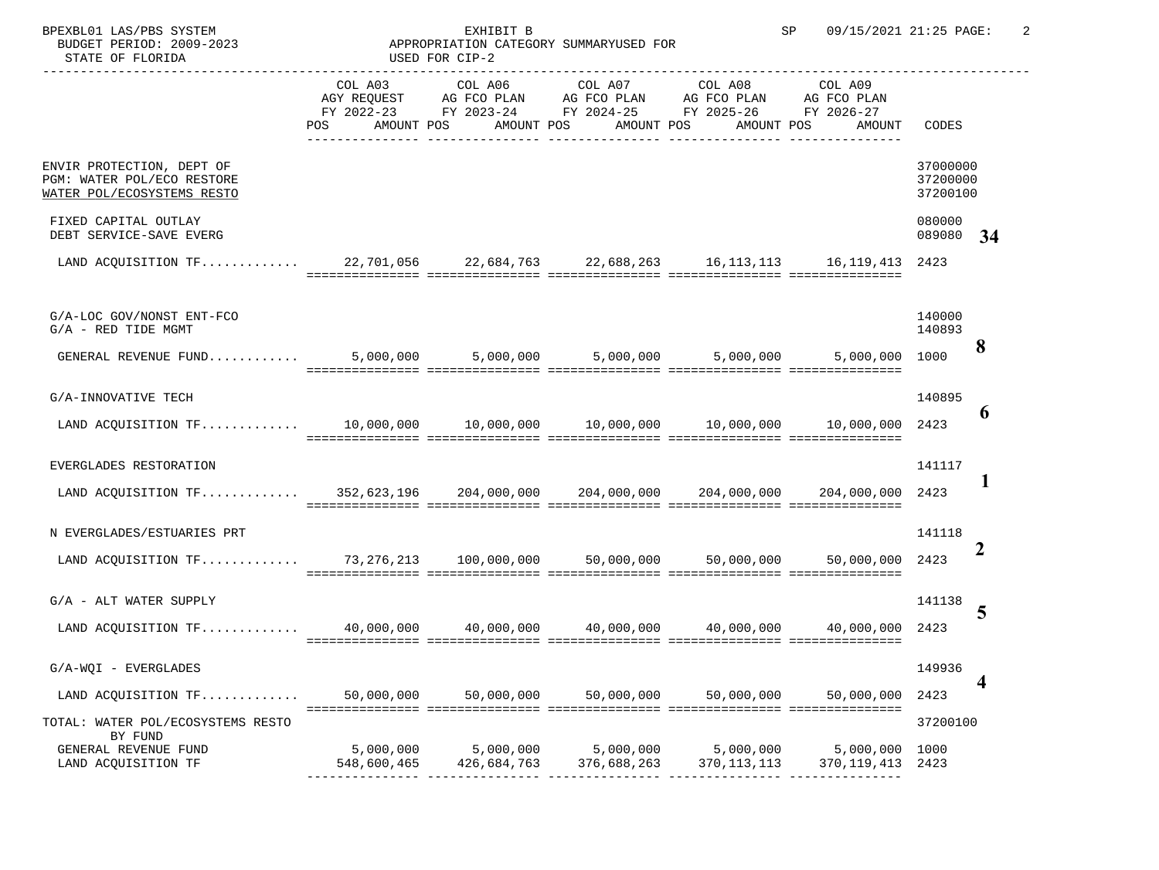| BPEXBL01 LAS/PBS SYSTEM<br>BUDGET PERIOD: 2009-2023<br>STATE OF FLORIDA                       | APPROPRIATION CATEGORY SUMMARY | EXHIBIT B<br>USED FOR CIP-2                                                                                                                               |                          |                                 | 09/15/2021 21:25 PAGE:<br>SP |                                  |                       |
|-----------------------------------------------------------------------------------------------|--------------------------------|-----------------------------------------------------------------------------------------------------------------------------------------------------------|--------------------------|---------------------------------|------------------------------|----------------------------------|-----------------------|
|                                                                                               | COL A03<br>POS                 | AGY REQUEST AG FCO PLAN AG FCO PLAN AG FCO PLAN AG FCO PLAN<br>FY 2022-23 FY 2023-24 FY 2024-25 FY 2025-26 FY 2026-27<br>AMOUNT POS AMOUNT POS AMOUNT POS |                          | COL A06 COL A07 COL A08 COL A09 | AMOUNT POS AMOUNT            | CODES                            | <b>Priority</b>       |
| ENVIR PROTECTION, DEPT OF<br>PGM: WATER POL/ECO RESTORE<br>WATER POL/ECOSYSTEMS RESTO         |                                |                                                                                                                                                           |                          |                                 |                              | 37000000<br>37200000<br>37200100 |                       |
| FIXED CAPITAL OUTLAY<br>DEBT SERVICE-SAVE EVERG                                               |                                |                                                                                                                                                           |                          |                                 |                              | 080000<br>089080                 | <b>Recurring Base</b> |
| LAND ACQUISITION TF 22,701,056 22,684,763 22,688,263 16,113,113 16,119,413 2423               |                                |                                                                                                                                                           |                          |                                 |                              |                                  |                       |
| G/A-LOC GOV/NONST ENT-FCO<br>$G/A$ - RED TIDE MGMT                                            |                                |                                                                                                                                                           |                          |                                 |                              | 140000<br>140893                 | 8                     |
|                                                                                               |                                |                                                                                                                                                           |                          |                                 |                              |                                  |                       |
| G/A-INNOVATIVE TECH                                                                           |                                |                                                                                                                                                           |                          |                                 |                              | 140895                           | 6                     |
| EVERGLADES RESTORATION<br>LAND ACQUISITION TF 352,623,196 204,000,000 204,000,000 204,000,000 |                                |                                                                                                                                                           |                          |                                 | 204,000,000                  | 141117<br>2423                   | 1                     |
| N EVERGLADES/ESTUARIES PRT                                                                    |                                |                                                                                                                                                           |                          |                                 |                              | 141118                           | $\overline{2}$        |
| $G/A$ - ALT WATER SUPPLY                                                                      |                                |                                                                                                                                                           |                          |                                 |                              | 141138                           | 5                     |
| G/A-WQI - EVERGLADES<br>LAND ACQUISITION TF                                                   | 50,000,000                     | 50,000,000                                                                                                                                                | 50,000,000               | 50,000,000                      | 50,000,000                   | 149936<br>2423                   | 4                     |
| TOTAL: WATER POL/ECOSYSTEMS RESTO<br>BY FUND<br>GENERAL REVENUE FUND<br>LAND ACQUISITION TF   | 5,000,000<br>548,600,465       | 5,000,000<br>426,684,763                                                                                                                                  | 5,000,000<br>376,688,263 | 5,000,000<br>370,113,113        | 5,000,000<br>370,119,413     | 37200100<br>1000<br>2423         |                       |
|                                                                                               |                                |                                                                                                                                                           |                          |                                 |                              |                                  |                       |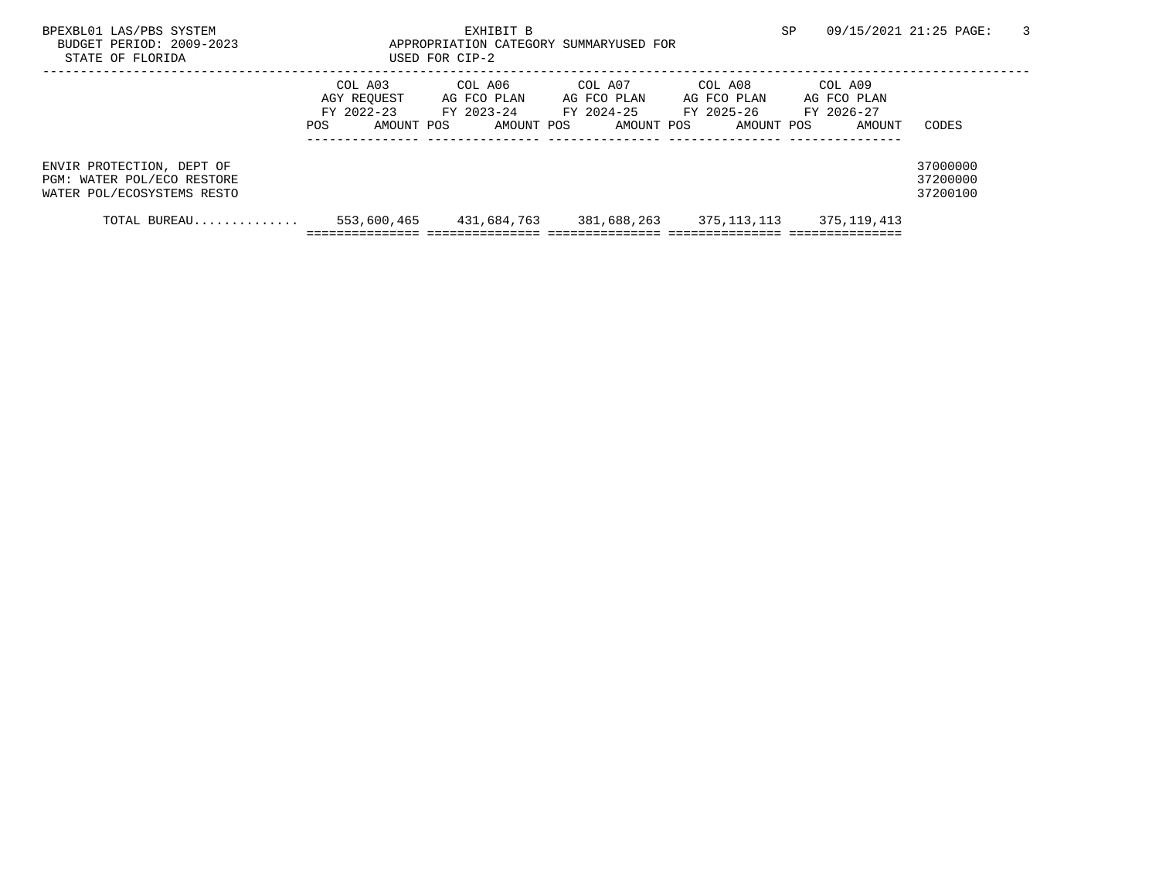| BPEXBL01 LAS/PBS SYSTEM<br>BUDGET PERIOD: 2009-2023<br>STATE OF FLORIDA               |                                                             | EXHIBIT B<br>APPROPRIATION CATEGORY SUMMARY<br>USED FOR CIP-2 |                                                    | SP.                                                                                                  | 09/15/2021 21:25 PAGE:<br>3      |
|---------------------------------------------------------------------------------------|-------------------------------------------------------------|---------------------------------------------------------------|----------------------------------------------------|------------------------------------------------------------------------------------------------------|----------------------------------|
|                                                                                       | COL A03<br>AGY REOUEST<br>$FY$ 2022-23<br>AMOUNT POS<br>POS | COL A06<br>AG FCO PLAN<br>FY 2023-24<br>AMOUNT POS            | COL A07<br>AG FCO PLAN<br>FY 2024-25<br>AMOUNT POS | COL A08<br>COL A09<br>AG FCO PLAN<br>AG FCO PLAN<br>FY 2025-26<br>FY 2026-27<br>AMOUNT POS<br>AMOUNT | CODES                            |
| ENVIR PROTECTION, DEPT OF<br>PGM: WATER POL/ECO RESTORE<br>WATER POL/ECOSYSTEMS RESTO |                                                             |                                                               |                                                    |                                                                                                      | 37000000<br>37200000<br>37200100 |
| TOTAL BUREAU                                                                          | 553,600,465                                                 | 431,684,763                                                   | 381,688,263                                        | 375,113,113<br>375,119,413                                                                           |                                  |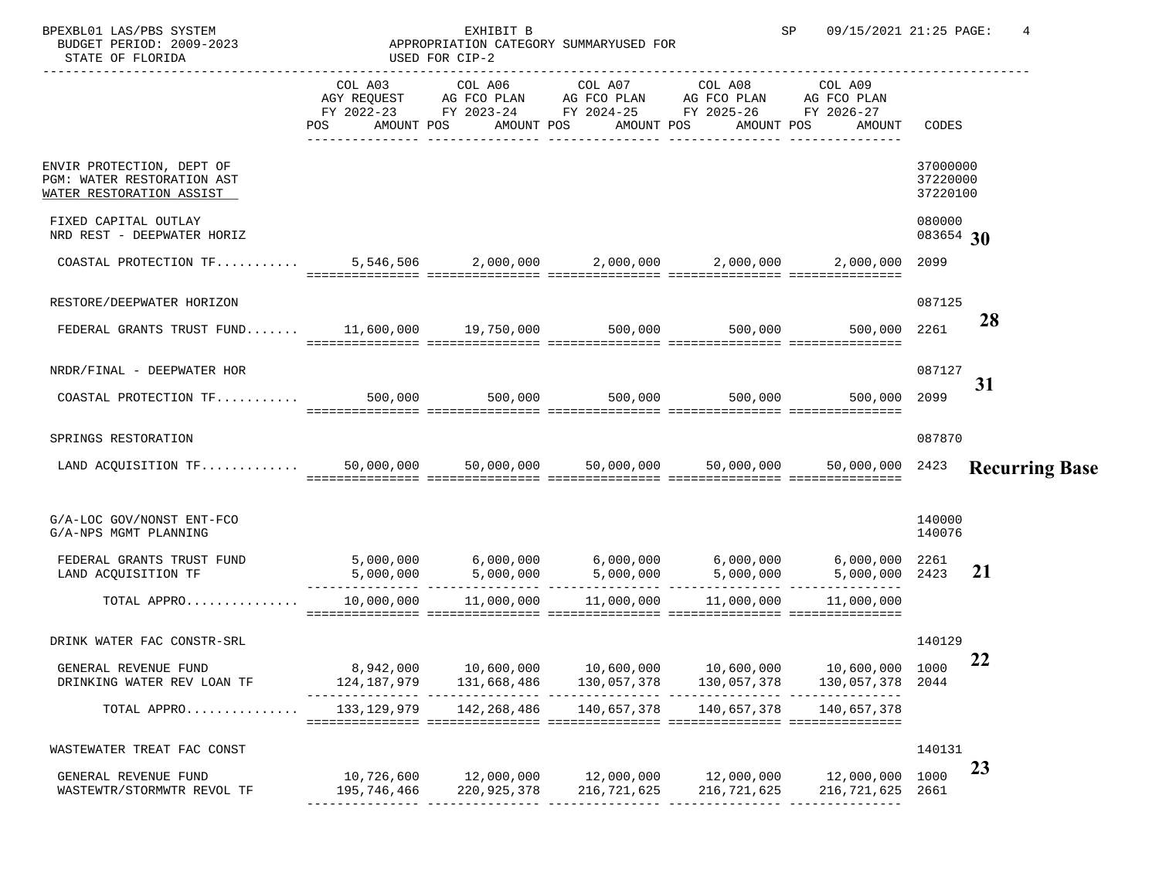| BPEXBL01 LAS/PBS SYSTEM<br>BUDGET PERIOD: 2009-2023<br>STATE OF FLORIDA             |                           | EXHIBIT B<br>APPROPRIATION CATEGORY SUMMARY<br>USED FOR CIP-2 |                                                                                                                                    |                           | SP<br>09/15/2021 21:25 PAGE:     |                                  | 4                     |
|-------------------------------------------------------------------------------------|---------------------------|---------------------------------------------------------------|------------------------------------------------------------------------------------------------------------------------------------|---------------------------|----------------------------------|----------------------------------|-----------------------|
|                                                                                     | AMOUNT POS<br>POS         | COL A03 COL A06<br>AMOUNT POS                                 | COL A07<br>AGY REQUEST AG FCO PLAN AG FCO PLAN AG FCO PLAN<br>FY 2022-23 FY 2023-24 FY 2024-25 FY 2025-26 FY 2026-27<br>AMOUNT POS | COL A08<br>AMOUNT POS     | COL A09<br>AG FCO PLAN<br>AMOUNT | CODES                            | <b>Priority</b>       |
| ENVIR PROTECTION, DEPT OF<br>PGM: WATER RESTORATION AST<br>WATER RESTORATION ASSIST |                           |                                                               |                                                                                                                                    |                           |                                  | 37000000<br>37220000<br>37220100 |                       |
| FIXED CAPITAL OUTLAY<br>NRD REST - DEEPWATER HORIZ                                  |                           |                                                               |                                                                                                                                    |                           |                                  | 080000<br>083654                 | 30                    |
|                                                                                     |                           |                                                               |                                                                                                                                    |                           |                                  | 2099                             |                       |
| RESTORE/DEEPWATER HORIZON                                                           |                           |                                                               |                                                                                                                                    |                           |                                  | 087125                           | 28                    |
| FEDERAL GRANTS TRUST FUND 11,600,000 19,750,000 500,000 500,000 500,000             |                           |                                                               | $\blacksquare$ coordecentrate coordecentrates coordecentrates coordecentrates coordecentrates                                      |                           | 500,000                          | 2261                             |                       |
| NRDR/FINAL - DEEPWATER HOR                                                          |                           |                                                               |                                                                                                                                    |                           |                                  | 087127                           | 31                    |
| COASTAL PROTECTION $TF$ 500,000 500,000                                             |                           |                                                               | 500,000                                                                                                                            | 500,000                   | 500,000                          | 2099                             |                       |
| SPRINGS RESTORATION                                                                 |                           |                                                               |                                                                                                                                    |                           |                                  | 087870                           |                       |
| LAND ACQUISITION TF                                                                 |                           |                                                               | $50,000,000$ $50,000,000$ $50,000,000$ $50,000,000$                                                                                |                           | 50,000,000                       | 2423                             | <b>Recurring Base</b> |
| G/A-LOC GOV/NONST ENT-FCO<br>G/A-NPS MGMT PLANNING                                  |                           |                                                               |                                                                                                                                    |                           |                                  | 140000<br>140076                 |                       |
| FEDERAL GRANTS TRUST FUND<br>LAND ACQUISITION TF                                    |                           |                                                               |                                                                                                                                    |                           | 6,000,000<br>5,000,000 2423      | 2261                             | 21                    |
| TOTAL APPRO                                                                         |                           | 10,000,000    11,000,000                                      | 11,000,000                                                                                                                         | 11,000,000                | 11,000,000                       |                                  |                       |
| DRINK WATER FAC CONSTR-SRL                                                          |                           |                                                               |                                                                                                                                    |                           |                                  | 140129                           |                       |
| GENERAL REVENUE FUND<br>DRINKING WATER REV LOAN TF                                  |                           | 8,942,000 10,600,000<br>124, 187, 979 131, 668, 486           | 10,600,000<br>130,057,378                                                                                                          | 10,600,000<br>130,057,378 | 10,600,000 1000<br>130,057,378   | 2044                             | 22                    |
| TOTAL APPRO                                                                         |                           |                                                               | 133, 129, 979 142, 268, 486 140, 657, 378                                                                                          | 140,657,378               | 140,657,378                      |                                  |                       |
| WASTEWATER TREAT FAC CONST                                                          |                           |                                                               |                                                                                                                                    |                           |                                  | 140131                           | 23                    |
| GENERAL REVENUE FUND<br>WASTEWTR/STORMWTR REVOL TF                                  | 10,726,600<br>195,746,466 | 12,000,000<br>220,925,378                                     | 12,000,000<br>216,721,625                                                                                                          | 12,000,000<br>216,721,625 | 12,000,000<br>216,721,625        | 1000<br>2661                     |                       |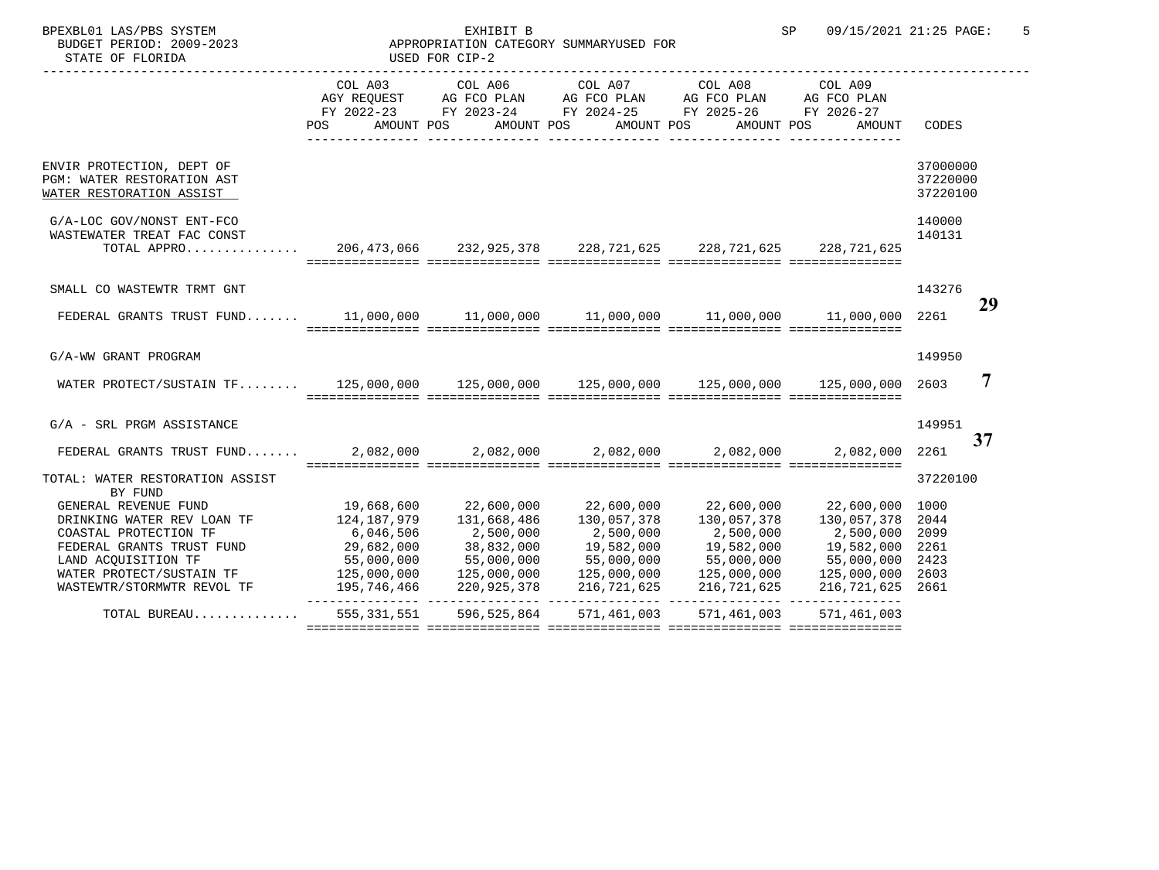| BPEXBL01 LAS/PBS SYSTEM<br>BUDGET PERIOD: 2009-2023<br>STATE OF FLORIDA                                                            | APPROPRIATION CATEGORY SUMMARY | EXHIBIT B<br>USED FOR CIP-2                                                                                                         |                          |                                 | 09/15/2021 21:25 PAGE:<br>SP                                                                           |                                  | 5               |
|------------------------------------------------------------------------------------------------------------------------------------|--------------------------------|-------------------------------------------------------------------------------------------------------------------------------------|--------------------------|---------------------------------|--------------------------------------------------------------------------------------------------------|----------------------------------|-----------------|
|                                                                                                                                    | COL A03<br>POS                 | AGY REQUEST AG FCO PLAN AG FCO PLAN AG FCO PLAN AG FCO PLAN<br>FY 2022-23 FY 2023-24 FY 2024-25 FY 2025-26 FY 2026-27<br>AMOUNT POS | AMOUNT POS AMOUNT POS    | COL A06 COL A07 COL A08 COL A09 | AMOUNT POS<br>AMOUNT                                                                                   | CODES                            | <b>Priority</b> |
| ENVIR PROTECTION, DEPT OF<br>PGM: WATER RESTORATION AST<br>WATER RESTORATION ASSIST                                                |                                |                                                                                                                                     |                          |                                 |                                                                                                        | 37000000<br>37220000<br>37220100 |                 |
| G/A-LOC GOV/NONST ENT-FCO<br>WASTEWATER TREAT FAC CONST<br>TOTAL APPRO 206,473,066 232,925,378 228,721,625 228,721,625 228,721,625 |                                |                                                                                                                                     |                          |                                 |                                                                                                        | 140000<br>140131                 |                 |
| SMALL CO WASTEWTR TRMT GNT                                                                                                         |                                |                                                                                                                                     |                          |                                 |                                                                                                        | 143276                           | 29              |
|                                                                                                                                    |                                |                                                                                                                                     |                          |                                 |                                                                                                        |                                  |                 |
| G/A-WW GRANT PROGRAM                                                                                                               |                                |                                                                                                                                     |                          |                                 |                                                                                                        | 149950                           | $\overline{7}$  |
| WATER PROTECT/SUSTAIN TF 125,000,000 125,000,000 125,000,000 125,000,000 125,000,000 2603                                          |                                |                                                                                                                                     |                          |                                 |                                                                                                        |                                  |                 |
| G/A - SRL PRGM ASSISTANCE                                                                                                          |                                |                                                                                                                                     |                          |                                 |                                                                                                        | 149951                           | 34              |
| FEDERAL GRANTS TRUST FUND 2,082,000 2,082,000 2,082,000 2,082,000 2,082,000 2,082,000                                              |                                |                                                                                                                                     |                          |                                 |                                                                                                        | 2261                             |                 |
| TOTAL: WATER RESTORATION ASSIST<br>BY FUND                                                                                         |                                |                                                                                                                                     |                          |                                 |                                                                                                        | 37220100                         |                 |
| GENERAL REVENUE FUND                                                                                                               |                                | 19,668,600 22,600,000                                                                                                               |                          |                                 | $22,600,000$ $22,600,000$ $22,600,000$ $1000$                                                          |                                  |                 |
| DRINKING WATER REV LOAN TF                                                                                                         |                                | 124, 187, 979 131, 668, 486                                                                                                         | 130,057,378              | 130,057,378                     | 130,057,378 2044                                                                                       |                                  |                 |
| COASTAL PROTECTION TF                                                                                                              | 6,046,506                      | 2,500,000                                                                                                                           | 2,500,000                | 2,500,000                       | 2,500,000 2099                                                                                         |                                  |                 |
| FEDERAL GRANTS TRUST FUND                                                                                                          |                                | 29,682,000            38,832,000<br>55,000,000           55,000,000                                                                 |                          |                                 | 19,582,000          19,582,000    2261<br>55,000,000           55,000,000    2423                      |                                  |                 |
| LAND ACQUISITION TF                                                                                                                |                                |                                                                                                                                     | 19,582,000<br>55,000,000 |                                 |                                                                                                        |                                  |                 |
| WATER PROTECT/SUSTAIN TF $125,000,000$ $125,000,000$ $125,000,000$ $125,000,000$ $125,000,000$ $125,000,000$                       |                                |                                                                                                                                     |                          |                                 |                                                                                                        |                                  |                 |
| WASTEWTR/STORMWTR REVOL TF                                                                                                         |                                |                                                                                                                                     |                          |                                 | $195, 746, 466$ $220, 925, 378$ $216, 721, 625$ $216, 721, 625$ $216, 721, 625$ $216, 721, 625$ $2661$ |                                  |                 |
| TOTAL BUREAU 555,331,551 596,525,864 571,461,003 571,461,003                                                                       |                                |                                                                                                                                     |                          |                                 | 571,461,003                                                                                            |                                  |                 |
|                                                                                                                                    |                                |                                                                                                                                     |                          |                                 |                                                                                                        |                                  |                 |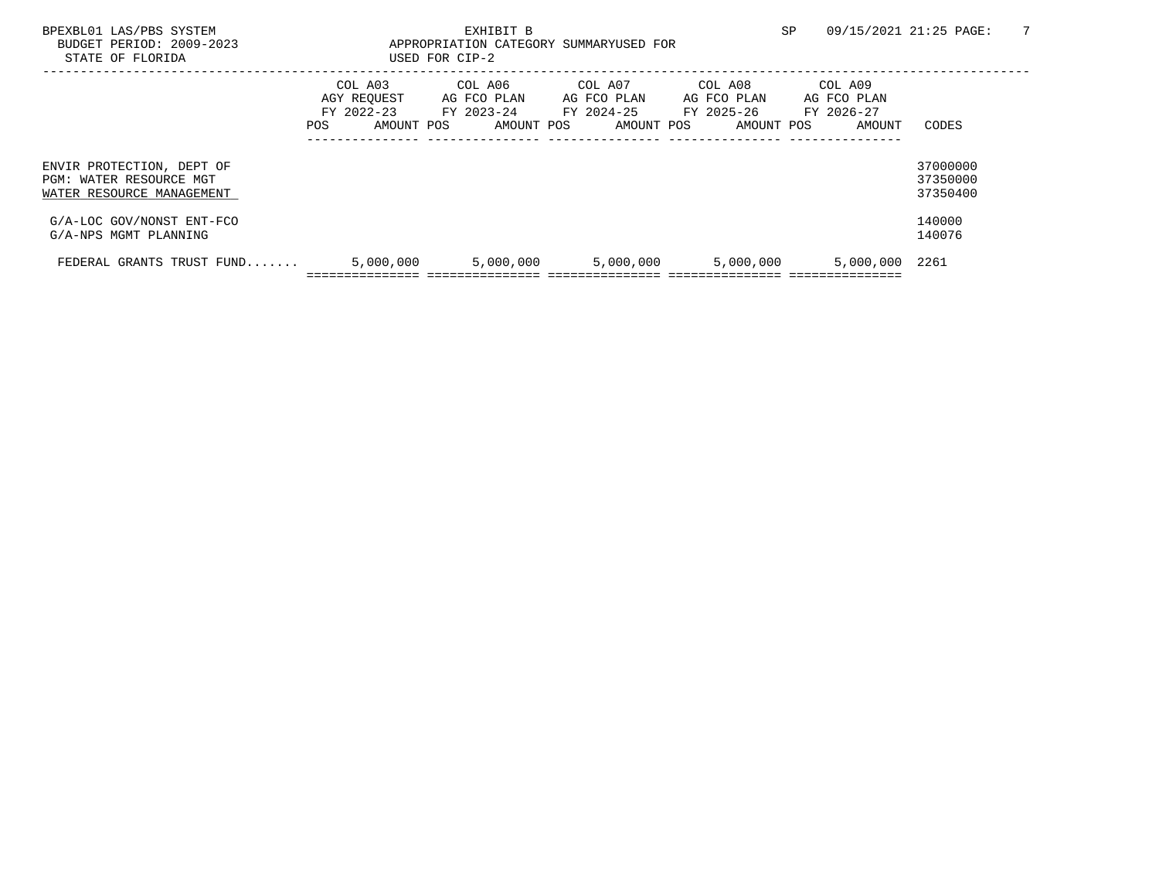| BPEXBL01 LAS/PBS SYSTEM<br>BUDGET PERIOD: 2009-2023<br>STATE OF FLORIDA           |                          | EXHIBIT B<br>APPROPRIATION CATEGORY SUMMARY<br>USED FOR CIP-2 |  |                                                    |  |                                      |  |                                                               | <b>SP</b> | 09/15/2021 21:25 PAGE:                         |                                  |                 |
|-----------------------------------------------------------------------------------|--------------------------|---------------------------------------------------------------|--|----------------------------------------------------|--|--------------------------------------|--|---------------------------------------------------------------|-----------|------------------------------------------------|----------------------------------|-----------------|
|                                                                                   | FY 2022-23<br><b>POS</b> | COL A03<br>AGY REQUEST<br>AMOUNT POS                          |  | COL A06<br>AG FCO PLAN<br>FY 2023-24<br>AMOUNT POS |  | COL A07<br>AG FCO PLAN<br>AMOUNT POS |  | COL A08<br>AG FCO PLAN<br>FY 2024-25 FY 2025-26<br>AMOUNT POS |           | COL A09<br>AG FCO PLAN<br>FY 2026-27<br>AMOUNT | CODES                            | <b>Priority</b> |
| ENVIR PROTECTION, DEPT OF<br>PGM: WATER RESOURCE MGT<br>WATER RESOURCE MANAGEMENT |                          |                                                               |  |                                                    |  |                                      |  |                                                               |           |                                                | 37000000<br>37350000<br>37350400 |                 |
| G/A-LOC GOV/NONST ENT-FCO<br>G/A-NPS MGMT PLANNING                                |                          |                                                               |  |                                                    |  |                                      |  |                                                               |           |                                                | 140000<br>140076                 | 21              |
| FEDERAL GRANTS TRUST FUND                                                         |                          | 5,000,000                                                     |  | 5,000,000                                          |  | 5,000,000                            |  | 5,000,000                                                     |           | 5,000,000                                      | 2261                             |                 |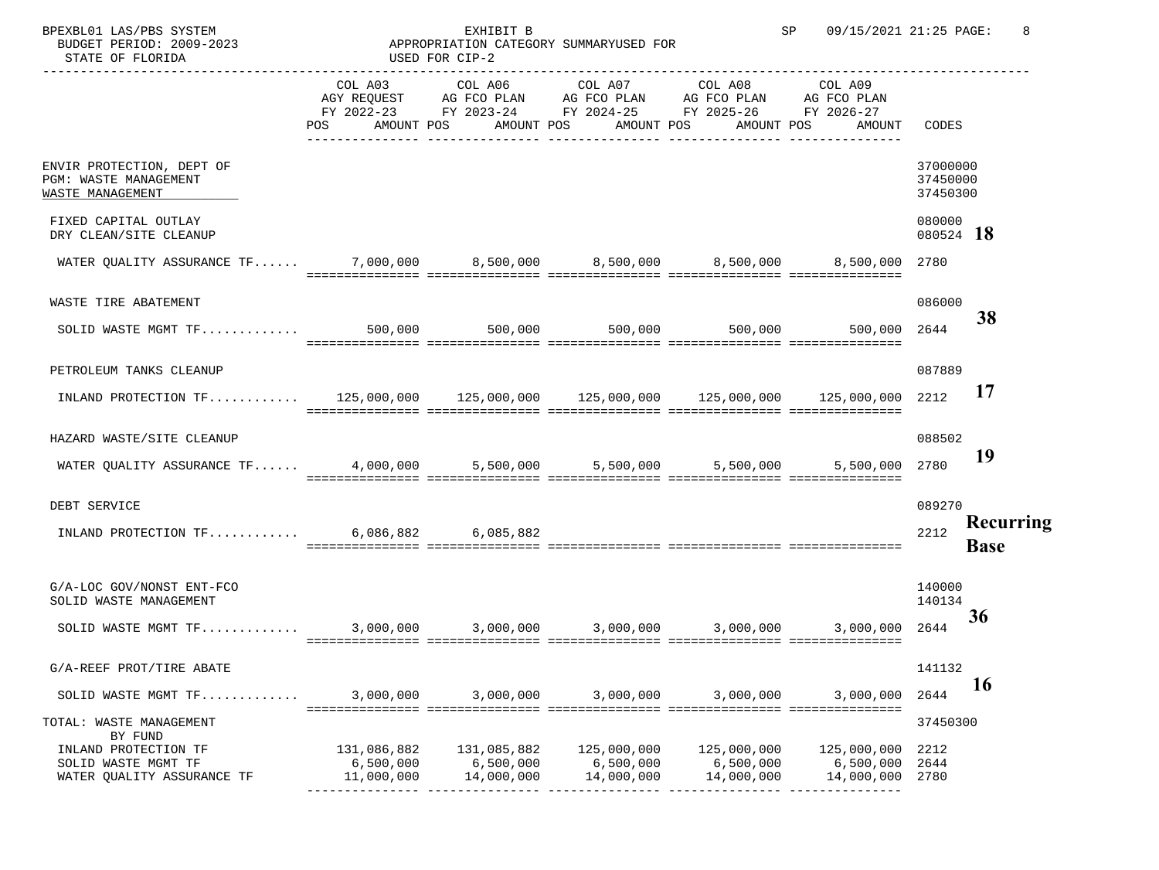| SP |  | 09/15/2021 21:25 PAGE: |  |
|----|--|------------------------|--|
|    |  |                        |  |

BPEXBL01 LAS/PBS SYSTEM SPORT SPORT SPORT SPORT SPORT SPORT SPORT SPORT SPORT SPORT SPORT SPORT SPAGE: 8 BUDGET PERIOD: 2009-2023 STATE OF FLORIDA

## EXHIBIT B APPROPRIATION CATEGORY SUMMARY USED FOR CIP-2

|                                                                                                   | COL A03<br>POS AMOUNT POS              | COL A06<br>AGY REQUEST AG FCO PLAN AG FCO PLAN AG FCO PLAN AG FCO PLAN<br>FY 2022-23 FY 2023-24 FY 2024-25 FY 2025-26 FY 2026-27 | AMOUNT POS                             | COL A07 COL A08<br>AMOUNT POS          | COL A09<br>AMOUNT POS<br>AMOUNT        | CODES                            | <b>Priority</b>       |
|---------------------------------------------------------------------------------------------------|----------------------------------------|----------------------------------------------------------------------------------------------------------------------------------|----------------------------------------|----------------------------------------|----------------------------------------|----------------------------------|-----------------------|
| ENVIR PROTECTION, DEPT OF<br>PGM: WASTE MANAGEMENT<br>WASTE MANAGEMENT                            |                                        |                                                                                                                                  |                                        |                                        |                                        | 37000000<br>37450000<br>37450300 |                       |
| FIXED CAPITAL OUTLAY<br>DRY CLEAN/SITE CLEANUP                                                    |                                        |                                                                                                                                  |                                        |                                        |                                        | 080000<br>080524                 | 18                    |
| WATER QUALITY ASSURANCE TF 7,000,000 8,500,000 8,500,000 8,500,000 8,500,000 8,500,000 2780       |                                        |                                                                                                                                  |                                        |                                        |                                        |                                  |                       |
| WASTE TIRE ABATEMENT                                                                              |                                        |                                                                                                                                  |                                        |                                        |                                        | 086000                           | 35                    |
| SOLID WASTE MGMT TF 500,000 500,000 500,000 500,000 500,000 500,000 500,000 2644                  |                                        |                                                                                                                                  |                                        |                                        |                                        |                                  |                       |
| PETROLEUM TANKS CLEANUP                                                                           |                                        |                                                                                                                                  |                                        |                                        |                                        | 087889                           | 17                    |
| INLAND PROTECTION TF 125,000,000 125,000,000 125,000,000 125,000,000 125,000,000 125,000,000 2212 |                                        |                                                                                                                                  |                                        |                                        |                                        |                                  |                       |
| HAZARD WASTE/SITE CLEANUP                                                                         |                                        |                                                                                                                                  |                                        |                                        |                                        | 088502                           | 19                    |
| WATER QUALITY ASSURANCE TF 4,000,000 5,500,000 5,500,000 5,500,000 5,500,000 7780                 |                                        |                                                                                                                                  |                                        |                                        |                                        |                                  |                       |
| DEBT SERVICE                                                                                      |                                        |                                                                                                                                  |                                        |                                        |                                        | 089270                           |                       |
| INLAND PROTECTION TF 6,086,882 6,085,882                                                          |                                        |                                                                                                                                  |                                        |                                        |                                        | 2212                             | <b>Recurring Base</b> |
| G/A-LOC GOV/NONST ENT-FCO<br>SOLID WASTE MANAGEMENT                                               |                                        |                                                                                                                                  |                                        |                                        |                                        | 140000<br>140134                 | 33                    |
|                                                                                                   |                                        |                                                                                                                                  |                                        |                                        |                                        |                                  |                       |
| G/A-REEF PROT/TIRE ABATE                                                                          |                                        |                                                                                                                                  |                                        |                                        |                                        | 141132                           | 16                    |
| SOLID WASTE MGMT TF                                                                               | 3,000,000                              | 3,000,000                                                                                                                        | 3,000,000                              | 3,000,000                              | 3,000,000                              | 2644                             |                       |
| TOTAL: WASTE MANAGEMENT<br>BY FUND                                                                |                                        |                                                                                                                                  |                                        |                                        |                                        | 37450300                         |                       |
| INLAND PROTECTION TF<br>SOLID WASTE MGMT TF<br>WATER QUALITY ASSURANCE TF                         | 131,086,882<br>6,500,000<br>11,000,000 | 131,085,882<br>6,500,000<br>14,000,000                                                                                           | 125,000,000<br>6,500,000<br>14,000,000 | 125,000,000<br>6,500,000<br>14,000,000 | 125,000,000<br>6,500,000<br>14,000,000 | 2212<br>2644<br>2780             |                       |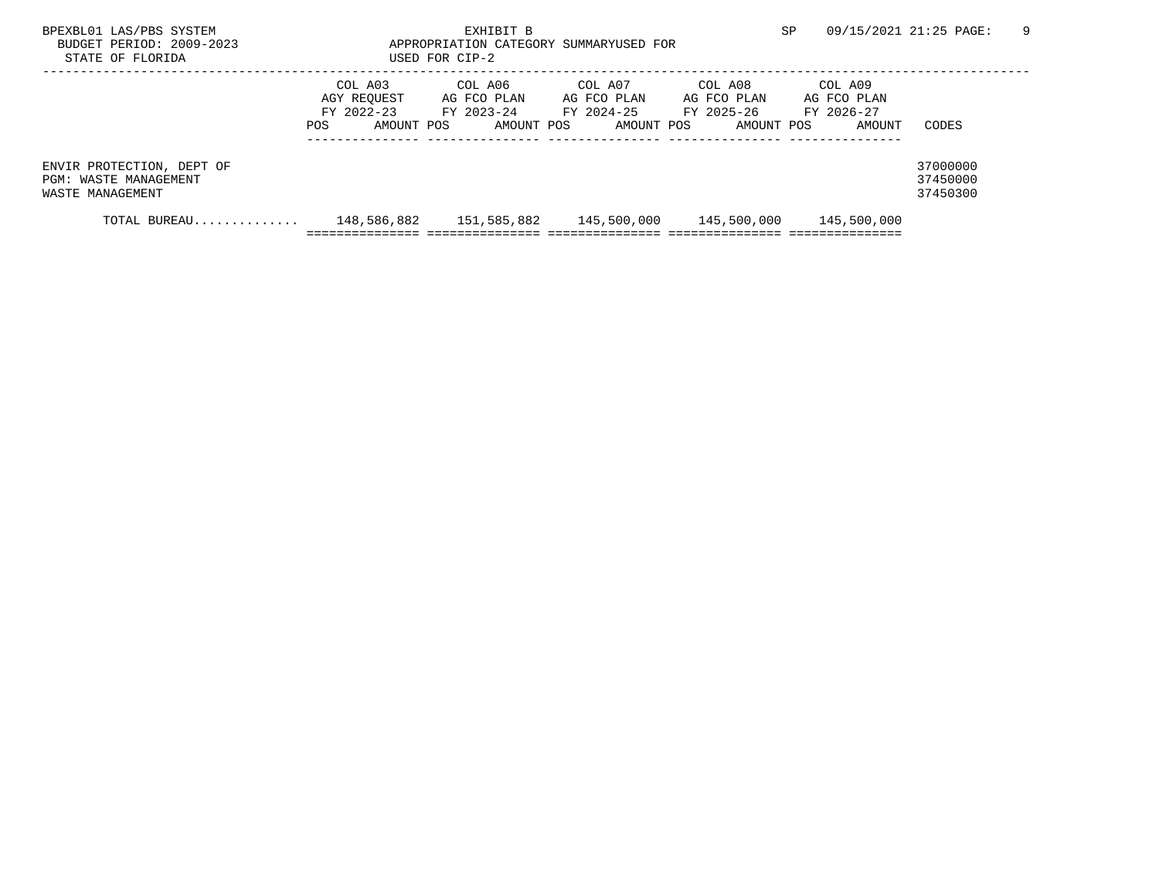| SP |  | 09/15/2021 21:25 PAGE: |  |
|----|--|------------------------|--|
|    |  |                        |  |

BPEXBL01 LAS/PBS SYSTEM SALL SERVICE STORE STRING THE SP 09/15/2021 21:25 PAGE: 9 BUDGET PERIOD: 2009-2023 STATE OF FLORIDA

|                                                                        |      | COL A03<br>AGY REQUEST<br>FY 2022-23 | COL A06<br>AG FCO PLAN<br>FY 2023-24 | COL A07<br>AG FCO PLAN<br>FY 2024-25 | COL A08<br>AG FCO PLAN<br>FY 2025-26 | COL A09<br>AG FCO PLAN<br>FY 2026-27 |                                  |
|------------------------------------------------------------------------|------|--------------------------------------|--------------------------------------|--------------------------------------|--------------------------------------|--------------------------------------|----------------------------------|
|                                                                        | POS. | AMOUNT POS                           | AMOUNT POS                           | AMOUNT POS                           | AMOUNT POS                           | AMOUNT                               | CODES                            |
| ENVIR PROTECTION, DEPT OF<br>PGM: WASTE MANAGEMENT<br>WASTE MANAGEMENT |      |                                      |                                      |                                      |                                      |                                      | 37000000<br>37450000<br>37450300 |
| TOTAL BUREAU                                                           |      | 148,586,882                          | 151,585,882                          | 145,500,000                          | 145,500,000                          | 145,500,000                          |                                  |
|                                                                        |      |                                      |                                      |                                      |                                      |                                      |                                  |

EXHIBIT B APPROPRIATION CATEGORY SUMMARY USED FOR CIP-2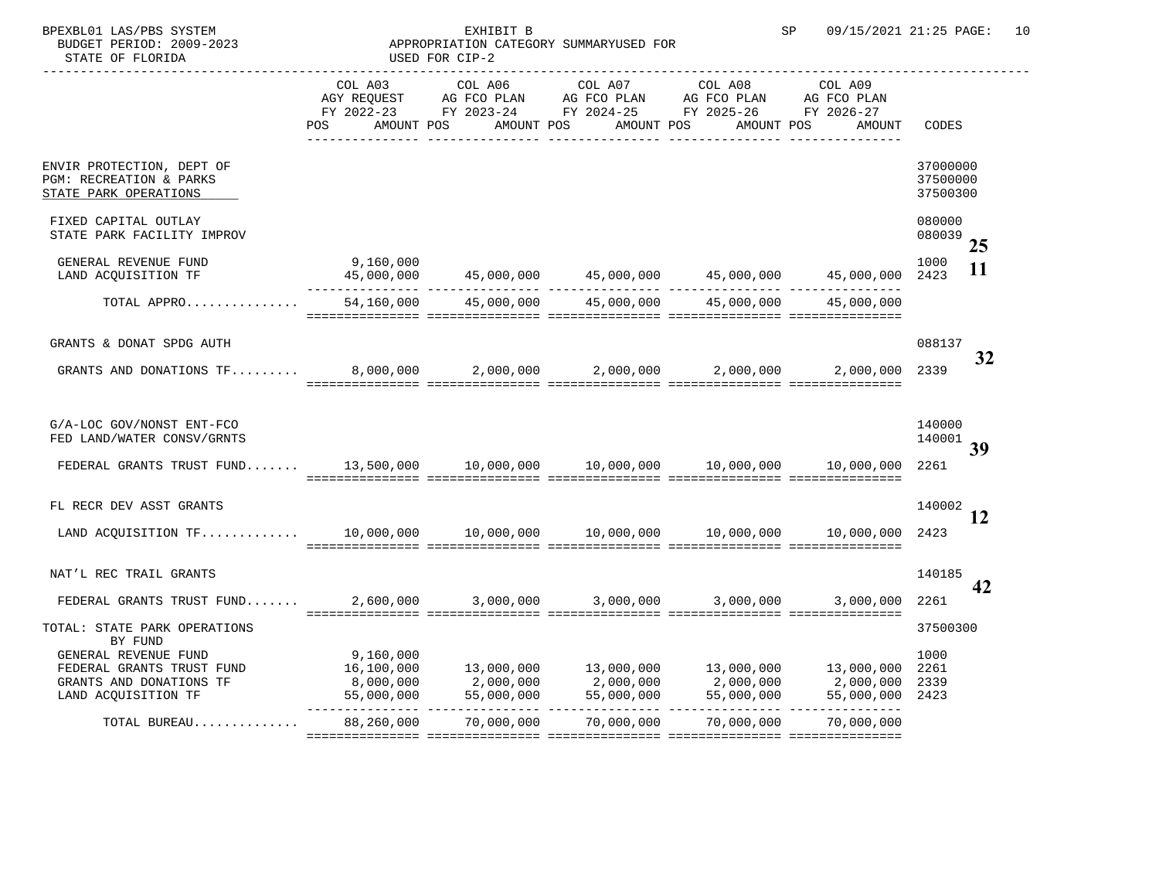| SP |  | 09/15/2021 21:25 PAGE: | 10 |
|----|--|------------------------|----|
|    |  |                        |    |

BPEXBL01 LAS/PBS SYSTEM BUDGET PERIOD: 2009-2023 STATE OF FLORIDA

## EXHIBIT B APPROPRIATION CATEGORY SUMMARY USED FOR CIP-2

|                                                                                                     | COL A03<br>POS | AMOUNT POS | AMOUNT POS | COL A06 COL A07 COL A08<br>AMOUNT POS AMOUNT POS AMOUNT                       | COL A09                                                                                                                                                                                                                                                                                                                                | CODES                            | <b>Priority</b> |
|-----------------------------------------------------------------------------------------------------|----------------|------------|------------|-------------------------------------------------------------------------------|----------------------------------------------------------------------------------------------------------------------------------------------------------------------------------------------------------------------------------------------------------------------------------------------------------------------------------------|----------------------------------|-----------------|
| ENVIR PROTECTION, DEPT OF<br>PGM: RECREATION & PARKS<br>STATE PARK OPERATIONS                       |                |            |            |                                                                               |                                                                                                                                                                                                                                                                                                                                        | 37000000<br>37500000<br>37500300 |                 |
| FIXED CAPITAL OUTLAY<br>STATE PARK FACILITY IMPROV                                                  |                |            |            |                                                                               |                                                                                                                                                                                                                                                                                                                                        | 080000<br>080039                 | 25              |
| GENERAL REVENUE FUND<br>LAND ACQUISITION TF                                                         | 9,160,000      |            |            | $45,000,000$ $45,000,000$ $45,000,000$ $45,000,000$ $45,000,000$ $45,000,000$ | 45,000,000                                                                                                                                                                                                                                                                                                                             | 1000<br>2423                     | 11              |
| TOTAL APPRO                                                                                         |                |            |            | $54,160,000$ $45,000,000$ $45,000,000$ $45,000,000$ $45,000,000$ $45,000,000$ |                                                                                                                                                                                                                                                                                                                                        |                                  |                 |
| GRANTS & DONAT SPDG AUTH                                                                            |                |            |            |                                                                               |                                                                                                                                                                                                                                                                                                                                        | 088137                           | 32              |
| GRANTS AND DONATIONS TF 8,000,000 2,000,000 2,000,000 2,000,000                                     |                |            |            |                                                                               | 2,000,000 2339                                                                                                                                                                                                                                                                                                                         |                                  |                 |
| G/A-LOC GOV/NONST ENT-FCO<br>FED LAND/WATER CONSV/GRNTS                                             |                |            |            |                                                                               |                                                                                                                                                                                                                                                                                                                                        | 140000<br>140001                 | 36              |
|                                                                                                     |                |            |            |                                                                               |                                                                                                                                                                                                                                                                                                                                        | 2261                             |                 |
| FL RECR DEV ASST GRANTS                                                                             |                |            |            |                                                                               |                                                                                                                                                                                                                                                                                                                                        | 140002                           | 12              |
|                                                                                                     |                |            |            |                                                                               |                                                                                                                                                                                                                                                                                                                                        | 2423                             |                 |
| NAT'L REC TRAIL GRANTS                                                                              |                |            |            |                                                                               |                                                                                                                                                                                                                                                                                                                                        | 140185                           | 42              |
| FEDERAL GRANTS TRUST FUND 2,600,000 3,000,000 3,000,000 3,000,000                                   |                |            |            |                                                                               | 3,000,000                                                                                                                                                                                                                                                                                                                              | 2261                             |                 |
| TOTAL: STATE PARK OPERATIONS<br>BY FUND                                                             |                |            |            |                                                                               |                                                                                                                                                                                                                                                                                                                                        | 37500300                         |                 |
| GENERAL REVENUE FUND<br>FEDERAL GRANTS TRUST FUND<br>GRANTS AND DONATIONS TF<br>LAND ACQUISITION TF | 9,160,000      |            |            |                                                                               | $16,100,000$ $13,000,000$ $13,000,000$ $13,000,000$ $13,000,000$ $13,000,000$ $2261$<br>$\begin{array}{cccccccc} 8\, ,000\, ,000 & 2\, ,000\, ,000 & 2\, ,000\, ,000 & 2\, ,000\, ,000 & 2\, ,000\, ,000 & 2339 \\ 55\, ,000\, ,000 & 55\, ,000\, ,000 & 55\, ,000\, ,000 & 55\, ,000\, ,000 & 55\, ,000\, ,000 & 2423 \\ \end{array}$ | 1000                             |                 |
| TOTAL BUREAU                                                                                        |                |            |            | 88,260,000 70,000,000 70,000,000 70,000,000                                   | 70,000,000                                                                                                                                                                                                                                                                                                                             |                                  |                 |
|                                                                                                     |                |            |            |                                                                               |                                                                                                                                                                                                                                                                                                                                        |                                  |                 |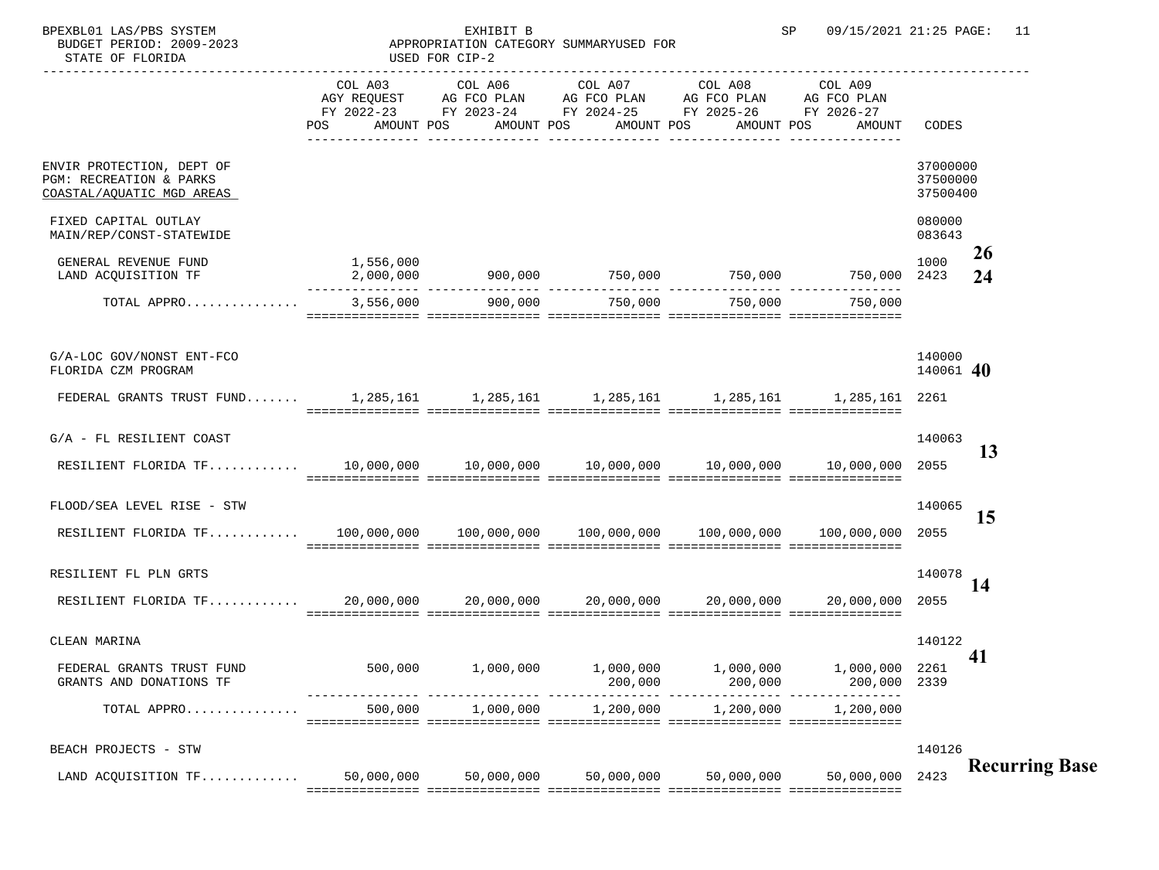| BPEXBL01 LAS/PBS SYSTEM<br>BUDGET PERIOD: 2009-2023<br>STATE OF FLORIDA                    | APPROPRIATION CATEGORY SUMMARY | EXHIBIT B<br>USED FOR CIP-2                                                                                                                    |         |                                             | 09/15/2021 21:25 PAGE: 11<br>SP                                                         |                                  |                       |
|--------------------------------------------------------------------------------------------|--------------------------------|------------------------------------------------------------------------------------------------------------------------------------------------|---------|---------------------------------------------|-----------------------------------------------------------------------------------------|----------------------------------|-----------------------|
|                                                                                            | COL A03                        | COL A06<br>AGY REQUEST AG FCO PLAN AG FCO PLAN AG FCO PLAN AG FCO PLAN<br>FY 2022-23 FY 2023-24 FY 2024-25 FY 2025-26 FY 2026-27<br>AMOUNT POS | COL A07 | COL A08<br>AMOUNT POS AMOUNT POS AMOUNT POS | COL A09<br>AMOUNT                                                                       | CODES                            | <b>Priority</b>       |
| ENVIR PROTECTION, DEPT OF<br>PGM: RECREATION & PARKS<br>COASTAL/AQUATIC MGD AREAS          |                                |                                                                                                                                                |         |                                             |                                                                                         | 37000000<br>37500000<br>37500400 |                       |
| FIXED CAPITAL OUTLAY<br>MAIN/REP/CONST-STATEWIDE<br>GENERAL REVENUE FUND                   | 1,556,000                      |                                                                                                                                                |         |                                             |                                                                                         | 080000<br>083643<br>1000         | <b>26</b>             |
| LAND ACQUISITION TF                                                                        |                                |                                                                                                                                                |         |                                             | $2,000,000$ 900,000 750,000 750,000 750,000 750,000 750,000 750,000 2423                |                                  | 24                    |
| TOTAL APPRO                                                                                |                                | $3,556,000$ $900,000$ $750,000$ $750,000$                                                                                                      |         |                                             | 750.000                                                                                 |                                  |                       |
| G/A-LOC GOV/NONST ENT-FCO<br>FLORIDA CZM PROGRAM                                           |                                |                                                                                                                                                |         |                                             |                                                                                         | 140000<br>140061                 | 37                    |
| FEDERAL GRANTS TRUST FUND 1,285,161 1,285,161 1,285,161 1,285,161 1,285,161 1,285,161 2261 |                                |                                                                                                                                                |         |                                             |                                                                                         |                                  |                       |
| G/A - FL RESILIENT COAST                                                                   |                                |                                                                                                                                                |         |                                             |                                                                                         | 140063                           | 13                    |
|                                                                                            |                                |                                                                                                                                                |         |                                             |                                                                                         |                                  |                       |
| FLOOD/SEA LEVEL RISE - STW                                                                 |                                |                                                                                                                                                |         |                                             |                                                                                         | 140065                           | 15                    |
|                                                                                            |                                |                                                                                                                                                |         |                                             |                                                                                         | 2055                             |                       |
| RESILIENT FL PLN GRTS                                                                      |                                |                                                                                                                                                |         |                                             |                                                                                         | 140078                           | 14                    |
|                                                                                            |                                |                                                                                                                                                |         |                                             | 20,000,000                                                                              | 2055                             |                       |
| CLEAN MARINA                                                                               |                                |                                                                                                                                                |         |                                             |                                                                                         | 140122                           | 38                    |
| FEDERAL GRANTS TRUST FUND<br>GRANTS AND DONATIONS TF                                       |                                |                                                                                                                                                |         |                                             | $500,000$ $1,000,000$ $1,000,000$ $1,000,000$ $1,000,000$ $1,000,000$ $2261$<br>200,000 | 2339                             |                       |
| TOTAL APPRO                                                                                |                                | $500,000$ 1,000,000 1,200,000 1,200,000                                                                                                        |         |                                             | 1,200,000                                                                               |                                  |                       |
| BEACH PROJECTS - STW                                                                       |                                |                                                                                                                                                |         |                                             |                                                                                         |                                  | 140126 Recurring Base |
| LAND ACQUISITION TF                                                                        |                                | $50,000,000$ $50,000,000$ $50,000,000$ $50,000,000$                                                                                            |         |                                             | 50,000,000 2423                                                                         |                                  |                       |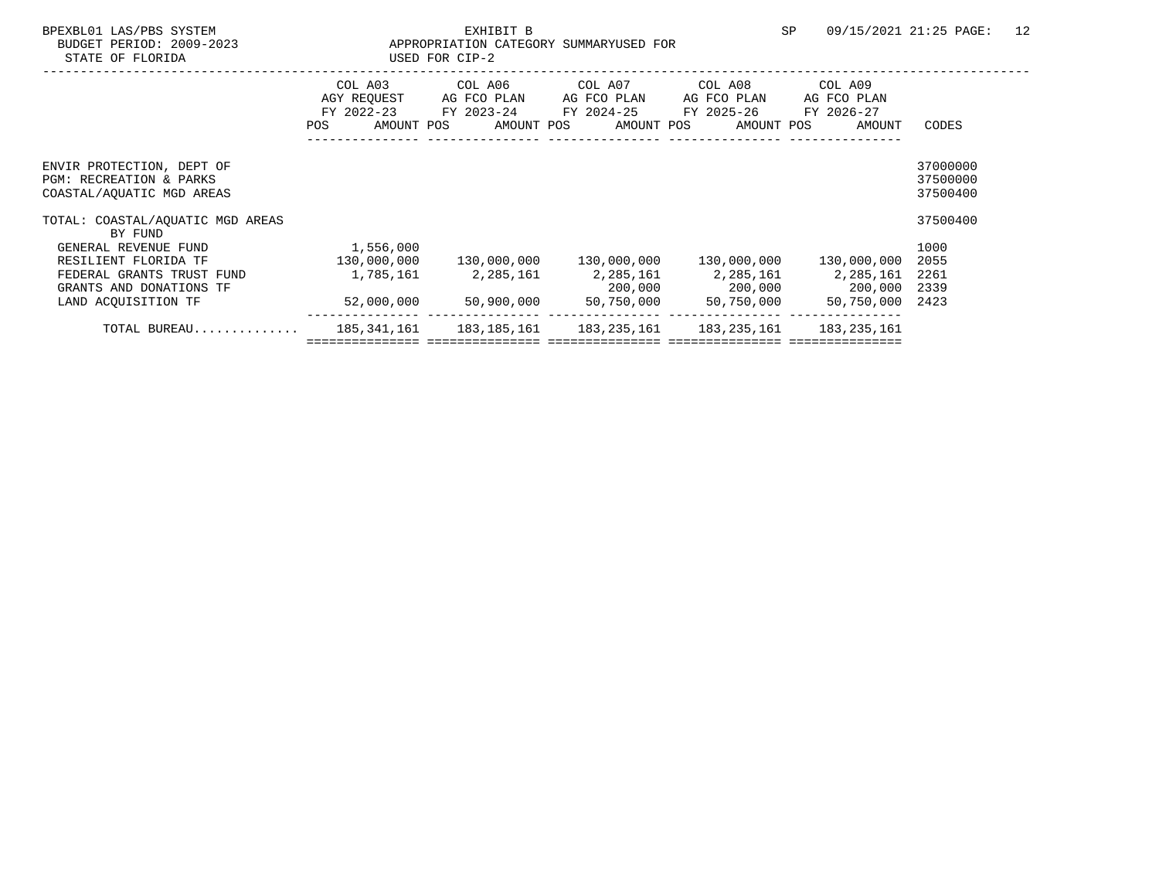| )1 LAS/PBS SYSTEM |  |
|-------------------|--|
|                   |  |
|                   |  |

## EXHIBIT B APPROPRIATION CATEGORY SUMMARY

| STATE OF FLORIDA                                                                             |                                            | USED FOR CIP-2                                                         |                                         |                                                    |                                                |                                  |
|----------------------------------------------------------------------------------------------|--------------------------------------------|------------------------------------------------------------------------|-----------------------------------------|----------------------------------------------------|------------------------------------------------|----------------------------------|
|                                                                                              | COL A03<br>FY 2022-23<br>POS<br>AMOUNT POS | COL A06 COL A07<br>AGY REOUEST AG FCO PLAN<br>FY 2023-24<br>AMOUNT POS | AG FCO PLAN<br>FY 2024-25<br>AMOUNT POS | COL A08<br>AG FCO PLAN<br>FY 2025-26<br>AMOUNT POS | COL A09<br>AG FCO PLAN<br>FY 2026-27<br>AMOUNT | CODES                            |
| ENVIR PROTECTION, DEPT OF<br><b>PGM: RECREATION &amp; PARKS</b><br>COASTAL/AOUATIC MGD AREAS |                                            |                                                                        |                                         |                                                    |                                                | 37000000<br>37500000<br>37500400 |
| TOTAL: COASTAL/AOUATIC MGD AREAS<br>BY FUND                                                  |                                            |                                                                        |                                         |                                                    |                                                | 37500400                         |
| GENERAL REVENUE FUND                                                                         | 1,556,000                                  |                                                                        |                                         |                                                    |                                                | 1000                             |
| RESILIENT FLORIDA TF                                                                         | 130,000,000                                | 130,000,000                                                            | 130,000,000                             | 130,000,000                                        | 130,000,000                                    | 2055                             |
| FEDERAL GRANTS TRUST FUND                                                                    | 1,785,161                                  | 2,285,161                                                              |                                         |                                                    | 2,285,161 2,285,161 2,285,161                  | 2261                             |
| GRANTS AND DONATIONS TF                                                                      |                                            |                                                                        |                                         |                                                    | 200,000 200,000 200,000                        | 2339                             |
| LAND ACOUISITION TF                                                                          | 52,000,000                                 | 50,900,000                                                             | 50,750,000                              | 50,750,000                                         | 50,750,000                                     | 2423                             |
| TOTAL BUREAU 185,341,161 183,185,161 183,235,161 183,235,161 183,235,161                     |                                            |                                                                        |                                         |                                                    |                                                |                                  |